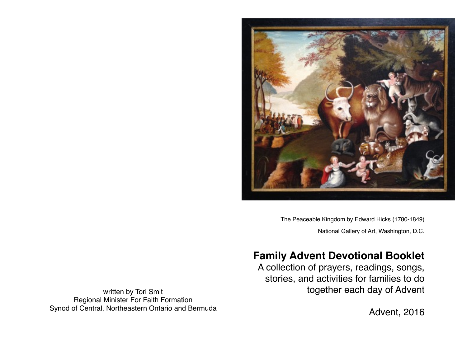

The Peaceable Kingdom by Edward Hicks (1780-1849) National Gallery of Art, Washington, D.C.

# **Family Advent Devotional Booklet**

A collection of prayers, readings, songs, stories, and activities for families to do together each day of Advent

written by Tori Smit Regional Minister For Faith Formation Synod of Central, Northeastern Ontario and Bermuda

Advent, 2016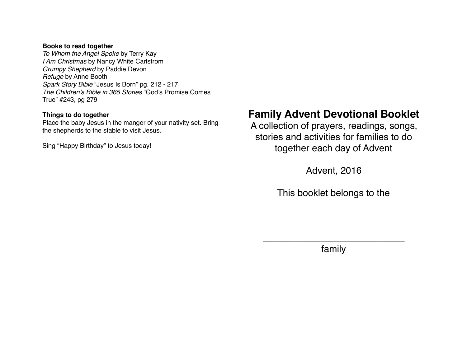#### **Books to read together**

*To Whom the Angel Spoke* by Terry Kay *I Am Christmas* by Nancy White Carlstrom *Grumpy Shepherd* by Paddie Devon *Refuge* by Anne Booth *Spark Story Bible* "Jesus Is Born" pg. 212 - 217 *The Children's Bible in 365 Stories* "God's Promise Comes True" #243, pg 279

#### **Things to do together**

Place the baby Jesus in the manger of your nativity set. Bring the shepherds to the stable to visit Jesus.

Sing "Happy Birthday" to Jesus today!

# **Family Advent Devotional Booklet**

A collection of prayers, readings, songs, stories and activities for families to do together each day of Advent

Advent, 2016

This booklet belongs to the

\_\_\_\_\_\_\_\_\_\_\_\_\_\_\_\_\_\_\_\_\_\_\_\_\_\_\_ family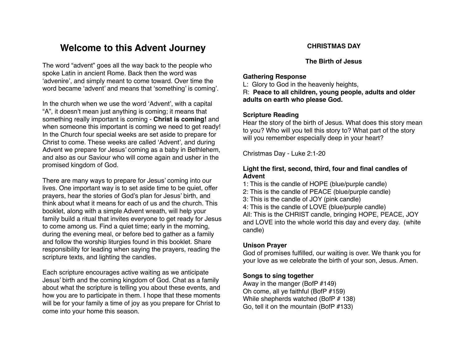## **Welcome to this Advent Journey**

The word "advent" goes all the way back to the people who spoke Latin in ancient Rome. Back then the word was 'advenire', and simply meant to come toward. Over time the word became 'advent' and means that 'something' is coming'.

In the church when we use the word 'Advent', with a capital "A", it doesn't mean just anything is coming; it means that something really important is coming - **Christ is coming!** and when someone this important is coming we need to get ready! In the Church four special weeks are set aside to prepare for Christ to come. These weeks are called 'Advent', and during Advent we prepare for Jesus' coming as a baby in Bethlehem, and also as our Saviour who will come again and usher in the promised kingdom of God.

There are many ways to prepare for Jesus' coming into our lives. One important way is to set aside time to be quiet, offer prayers, hear the stories of God's plan for Jesus' birth, and think about what it means for each of us and the church. This booklet, along with a simple Advent wreath, will help your family build a ritual that invites everyone to get ready for Jesus to come among us. Find a quiet time; early in the morning, during the evening meal, or before bed to gather as a family and follow the worship liturgies found in this booklet. Share responsibility for leading when saying the prayers, reading the scripture texts, and lighting the candles.

Each scripture encourages active waiting as we anticipate Jesus' birth and the coming kingdom of God. Chat as a family about what the scripture is telling you about these events, and how you are to participate in them. I hope that these moments will be for your family a time of joy as you prepare for Christ to come into your home this season.

#### **CHRISTMAS DAY**

**The Birth of Jesus**

#### **Gathering Response**

L: Glory to God in the heavenly heights, R: **Peace to all children, young people, adults and older adults on earth who please God.** 

#### **Scripture Reading**

Hear the story of the birth of Jesus. What does this story mean to you? Who will you tell this story to? What part of the story will you remember especially deep in your heart?

Christmas Day - Luke 2:1-20

#### **Light the first, second, third, four and final candles of Advent**

1: This is the candle of HOPE (blue/purple candle)

- 2: This is the candle of PEACE (blue/purple candle)
- 3: This is the candle of JOY (pink candle)
- 4: This is the candle of LOVE (blue/purple candle) All: This is the CHRIST candle, bringing HOPE, PEACE, JOY and LOVE into the whole world this day and every day. (white candle)

#### **Unison Prayer**

God of promises fulfilled, our waiting is over. We thank you for your love as we celebrate the birth of your son, Jesus. Amen.

#### **Songs to sing together**

Away in the manger (BofP #149) Oh come, all ye faithful (BofP #159) While shepherds watched (BofP # 138) Go, tell it on the mountain (BofP #133)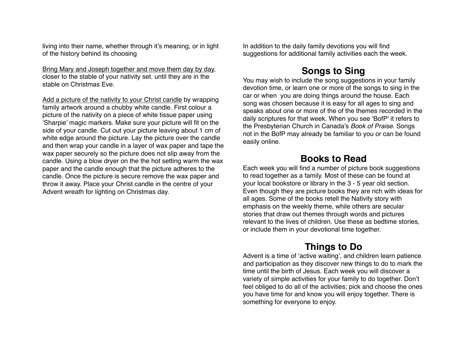living into their name, whether through it's meaning, or in light of the history behind its choosing

Bring Mary and Joseph together and move them day by day, closer to the stable of your nativity set. until they are in the stable on Christmas Eve.

Add a picture of the nativity to your Christ candle by wrapping family artwork around a chubby white candle. First colour a picture of the nativity on a piece of white tissue paper using 'Sharpie' magic markers. Make sure your picture will fit on the side of your candle. Cut out your picture leaving about 1 cm of white edge around the picture. Lay the picture over the candle and then wrap your candle in a layer of wax paper and tape the wax paper securely so the picture does not slip away from the candle. Using a blow dryer on the the hot setting warm the wax paper and the candle enough that the picture adheres to the candle. Once the picture is secure remove the wax paper and throw it away. Place your Christ candle in the centre of your Advent wreath for lighting on Christmas day.

In addition to the daily family devotions you will find suggestions for additional family activities each the week.

## **Songs to Sing**

You may wish to include the song suggestions in your family devotion time, or learn one or more of the songs to sing in the car or when you are doing things around the house. Each song was chosen because it is easy for all ages to sing and speaks about one or more of the of the themes recorded in the daily scriptures for that week. When you see 'BofP' it refers to the Presbyterian Church in Canada's *Book of Praise*. Songs not in the BofP may already be familiar to you or can be found easily online.

## **Books to Read**

Each week you will find a number of picture book suggestions to read together as a family. Most of these can be found at your local bookstore or library in the 3 - 5 year old section. Even though they are picture books they are rich with ideas for all ages. Some of the books retell the Nativity story with emphasis on the weekly theme, while others are secular stories that draw out themes through words and pictures relevant to the lives of children. Use these as bedtime stories, or include them in your devotional time together.

# **Things to Do**

Advent is a time of 'active waiting', and children learn patience and participation as they discover new things to do to mark the time until the birth of Jesus. Each week you will discover a variety of simple activities for your family to do together. Don't feel obliged to do all of the activities; pick and choose the ones you have time for and know you will enjoy together. There is something for everyone to enjoy.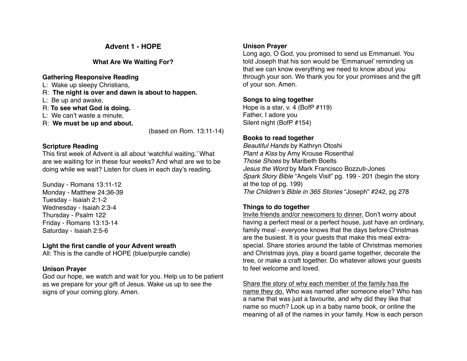## **Advent 1 - HOPE**

#### **What Are We Waiting For?**

#### **Gathering Responsive Reading**

- L: Wake up sleepy Christians,
- R: **The night is over and dawn is about to happen.**
- L: Be up and awake,
- R: **To see what God is doing.**
- L: We can't waste a minute,
- R: **We must be up and about.**

(based on Rom. 13:11-14)

### **Scripture Reading**

This first week of Advent is all about 'watchful waiting.' What are we waiting for in these four weeks? And what are we to be doing while we wait? Listen for clues in each day's reading.

Sunday - Romans 13:11-12 Monday - Matthew 24:36-39 Tuesday - Isaiah 2:1-2 Wednesday - Isaiah 2:3-4 Thursday - Psalm 122 Friday - Romans 13:13-14 Saturday - Isaiah 2:5-6

### **Light the first candle of your Advent wreath**

All: This is the candle of HOPE (blue/purple candle)

## **Unison Prayer**

God our hope, we watch and wait for you. Help us to be patient as we prepare for your gift of Jesus. Wake us up to see the signs of your coming glory. Amen.

### **Unison Prayer**

Long ago, O God, you promised to send us Emmanuel. You told Joseph that his son would be 'Emmanuel' reminding us that we can know everything we need to know about you through your son. We thank you for your promises and the gift of your son. Amen.

## **Songs to sing together**

Hope is a star, v. 4 (BofP #119) Father, I adore you Silent night (BofP #154)

## **Books to read together**

*Beautiful Hands* by Kathryn Otoshi *Plant a Kiss* by Amy Krouse Rosenthal *Those Shoes* by Maribeth Boelts *Jesus the Word* by Mark Francisco Bozzuti-Jones *Spark Story Bible* "Angels Visit" pg. 199 - 201 (begin the story at the top of pg. 199) *The Children's Bible in 365 Stories* "Joseph" #242, pg 278

## **Things to do together**

Invite friends and/or newcomers to dinner. Don't worry about having a perfect meal or a perfect house, just have an ordinary, family meal - everyone knows that the days before Christmas are the busiest. It is your guests that make this meal extraspecial. Share stories around the table of Christmas memories and Christmas joys, play a board game together, decorate the tree, or make a craft together. Do whatever allows your guests to feel welcome and loved.

Share the story of why each member of the family has the name they do. Who was named after someone else? Who has a name that was just a favourite, and why did they like that name so much? Look up in a baby name book, or online the meaning of all of the names in your family. How is each person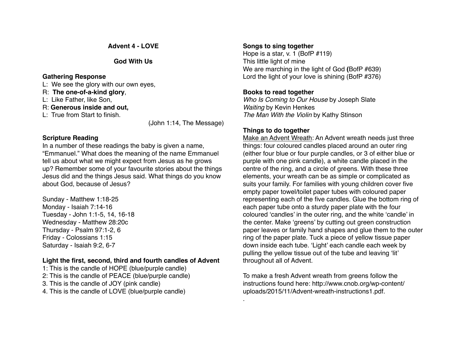**Advent 4 - LOVE**

#### **God With Us**

#### **Gathering Response**

- L: We see the glory with our own eyes,
- R: **The one-of-a-kind glory**,
- L: Like Father, like Son,
- R: **Generous inside and out,**
- L: True from Start to finish.

(John 1:14, The Message)

## **Scripture Reading**

In a number of these readings the baby is given a name, "Emmanuel." What does the meaning of the name Emmanuel tell us about what we might expect from Jesus as he grows up? Remember some of your favourite stories about the things Jesus did and the things Jesus said. What things do you know about God, because of Jesus?

Sunday - Matthew 1:18-25 Monday - Isaiah 7:14-16 Tuesday - John 1:1-5, 14, 16-18 Wednesday - Matthew 28:20c Thursday - Psalm 97:1-2, 6 Friday - Colossians 1:15 Saturday - Isaiah 9:2, 6-7

## **Light the first, second, third and fourth candles of Advent**

1: This is the candle of HOPE (blue/purple candle) 2: This is the candle of PEACE (blue/purple candle) 3. This is the candle of JOY (pink candle) 4. This is the candle of LOVE (blue/purple candle)

## **Songs to sing together**

Hope is a star, v. 1 (BofP #119) This little light of mine We are marching in the light of God **(**BofP #639) Lord the light of your love is shining (BofP #376)

## **Books to read together**

*Who Is Coming to Our House* by Joseph Slate *Waiting* by Kevin Henkes *The Man With the Violin* by Kathy Stinson

## **Things to do together**

.

Make an Advent Wreath: An Advent wreath needs just three things: four coloured candles placed around an outer ring (either four blue or four purple candles, or 3 of either blue or purple with one pink candle), a white candle placed in the centre of the ring, and a circle of greens. With these three elements, your wreath can be as simple or complicated as suits your family. For families with young children cover five empty paper towel/toilet paper tubes with coloured paper representing each of the five candles. Glue the bottom ring of each paper tube onto a sturdy paper plate with the four coloured 'candles' in the outer ring, and the white 'candle' in the center. Make 'greens' by cutting out green construction paper leaves or family hand shapes and glue them to the outer ring of the paper plate. Tuck a piece of yellow tissue paper down inside each tube. 'Light' each candle each week by pulling the yellow tissue out of the tube and leaving 'lit' throughout all of Advent.

To make a fresh Advent wreath from greens follow the [instructions found here: http://www.cnob.org/wp-content/](http://www.cnob.org/wp-content/uploads/2015/11/Advent-wreath-instructions1.pdf) uploads/2015/11/Advent-wreath-instructions1.pdf.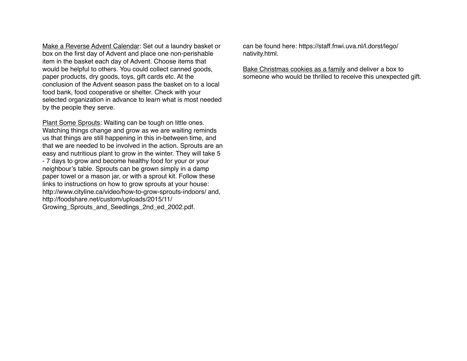Make a Reverse Advent Calendar: Set out a laundry basket or box on the first day of Advent and place one non-perishable item in the basket each day of Advent. Choose items that would be helpful to others. You could collect canned goods, paper products, dry goods, toys, gift cards etc. At the conclusion of the Advent season pass the basket on to a local food bank, food cooperative or shelter. Check with your selected organization in advance to learn what is most needed by the people they serve.

Plant Some Sprouts: Waiting can be tough on little ones. Watching things change and grow as we are waiting reminds us that things are still happening in this in-between time, and that we are needed to be involved in the action. Sprouts are an easy and nutritious plant to grow in the winter. They will take 5 - 7 days to grow and become healthy food for your or your neighbour's table. Sprouts can be grown simply in a damp paper towel or a mason jar, or with a sprout kit. Follow these links to instructions on how to grow sprouts at your house: <http://www.cityline.ca/video/how-to-grow-sprouts-indoors/>and, http://foodshare.net/custom/uploads/2015/11/ Growing Sprouts and Seedlings 2nd ed 2002.pdf.

[can be found here: https://staff.fnwi.uva.nl/l.dorst/lego/](https://staff.fnwi.uva.nl/l.dorst/lego/nativity.html) nativity.html.

Bake Christmas cookies as a family and deliver a box to someone who would be thrilled to receive this unexpected gift.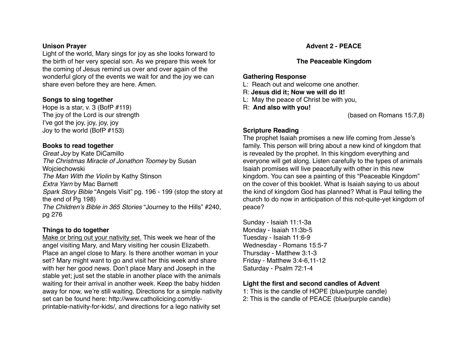#### **Unison Prayer**

Light of the world, Mary sings for joy as she looks forward to the birth of her very special son. As we prepare this week for the coming of Jesus remind us over and over again of the wonderful glory of the events we wait for and the joy we can share even before they are here. Amen.

#### **Songs to sing together**

Hope is a star, v. 3 (BofP #119) The joy of the Lord is our strength I've got the joy, joy, joy, joy Joy to the world (BofP #153)

#### **Books to read together**

*Great Joy* by Kate DiCamillo *The Christmas Miracle of Jonathon Toomey* by Susan Wojciechowski *The Man With the Violin* by Kathy Stinson *Extra Yarn* by Mac Barnett *Spark Story Bible* "Angels Visit" pg. 196 - 199 (stop the story at the end of Pg 198) *The Children's Bible in 365 Stories* "Journey to the Hills" #240, pg 276

#### **Things to do together**

Make or bring out your nativity set. This week we hear of the angel visiting Mary, and Mary visiting her cousin Elizabeth. Place an angel close to Mary. Is there another woman in your set? Mary might want to go and visit her this week and share with her her good news. Don't place Mary and Joseph in the stable yet; just set the stable in another place with the animals waiting for their arrival in another week. Keep the baby hidden away for now, we're still waiting. Directions for a simple nativity set can be found here: http://www.catholicicing.com/diy[printable-nativity-for-kids/, and directions for a lego nativ](http://www.catholicicing.com/diy-printable-nativity-for-kids/)ity set

#### **Advent 2 - PEACE**

#### **The Peaceable Kingdom**

#### **Gathering Response**

- L: Reach out and welcome one another.
- R: **Jesus did it; Now we will do it!**
- L: May the peace of Christ be with you,
- R: **And also with you!**

(based on Romans 15:7,8)

#### **Scripture Reading**

The prophet Isaiah promises a new life coming from Jesse's family. This person will bring about a new kind of kingdom that is revealed by the prophet. In this kingdom everything and everyone will get along. Listen carefully to the types of animals Isaiah promises will live peacefully with other in this new kingdom. You can see a painting of this "Peaceable Kingdom" on the cover of this booklet. What is Isaiah saying to us about the kind of kingdom God has planned? What is Paul telling the church to do now in anticipation of this not-quite-yet kingdom of peace?

Sunday - Isaiah 11:1-3a Monday - Isaiah 11:3b-5 Tuesday - Isaiah 11:6-9 Wednesday - Romans 15:5-7 Thursday - Matthew 3:1-3 Friday - Matthew 3:4-6,11-12 Saturday - Psalm 72:1-4

#### **Light the first and second candles of Advent**

1: This is the candle of HOPE (blue/purple candle) 2: This is the candle of PEACE (blue/purple candle)